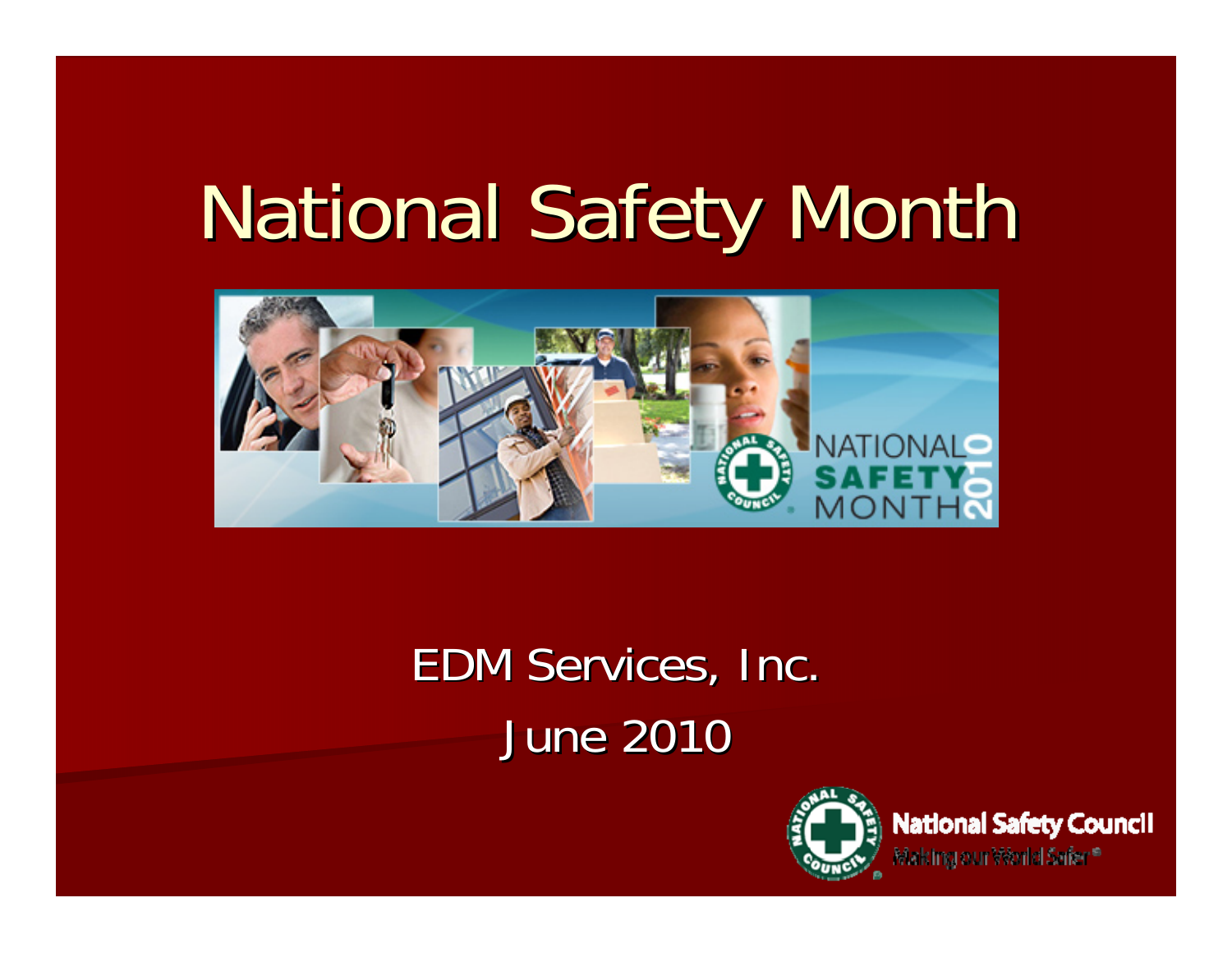# National Safety Month



## EDM Services, Inc. June 2010



**National Safety Council** Making our Výorld Serier <sup>a</sup>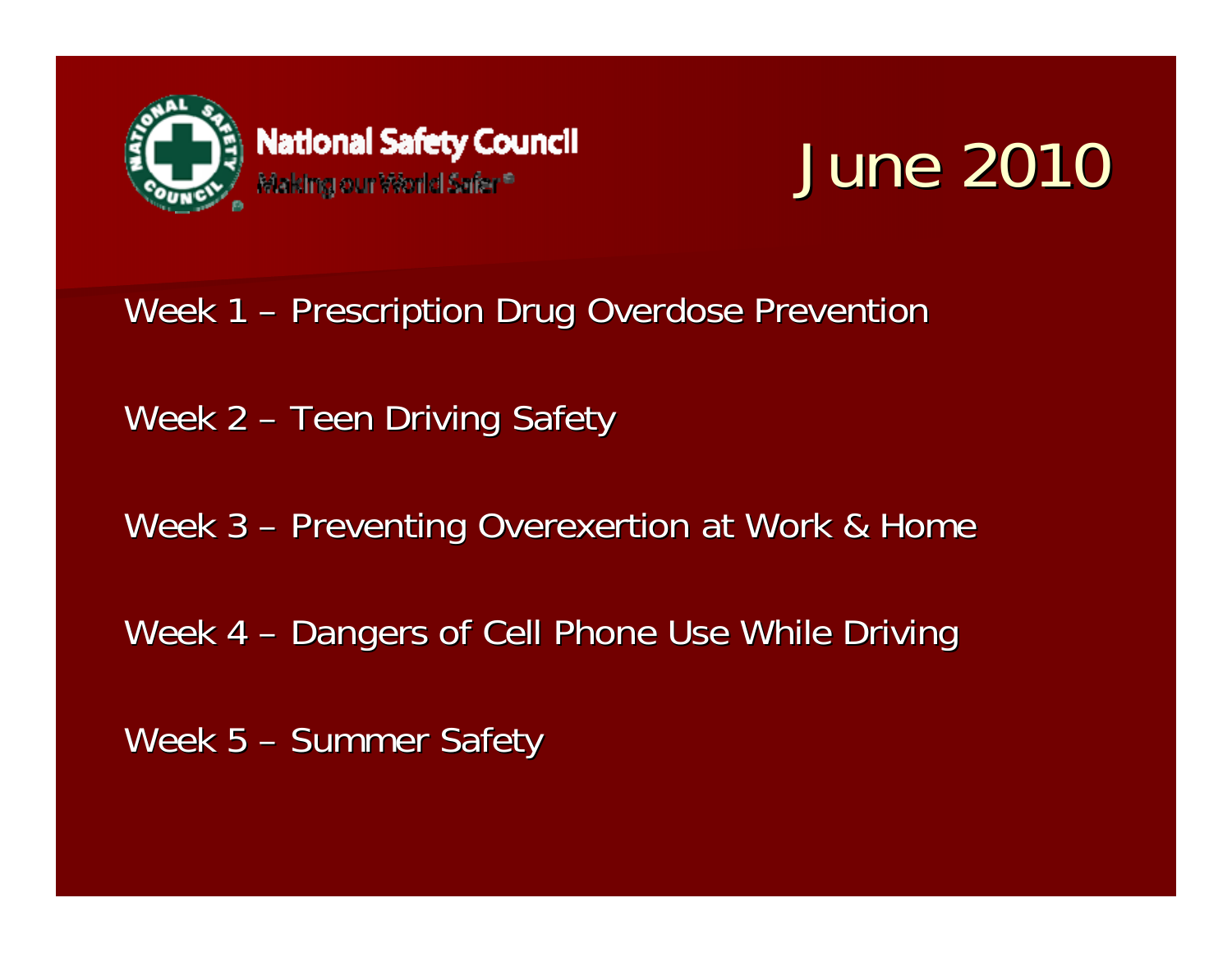

# June 2010

Week 1 – Prescription Drug Overdose Prevention

Week 2 – Teen Driving Safety

Week 3 – Preventing Overexertion at Work & Home

Week 4 – Dangers of Cell Phone Use While Driving

Week  $5 -$  Summer Safety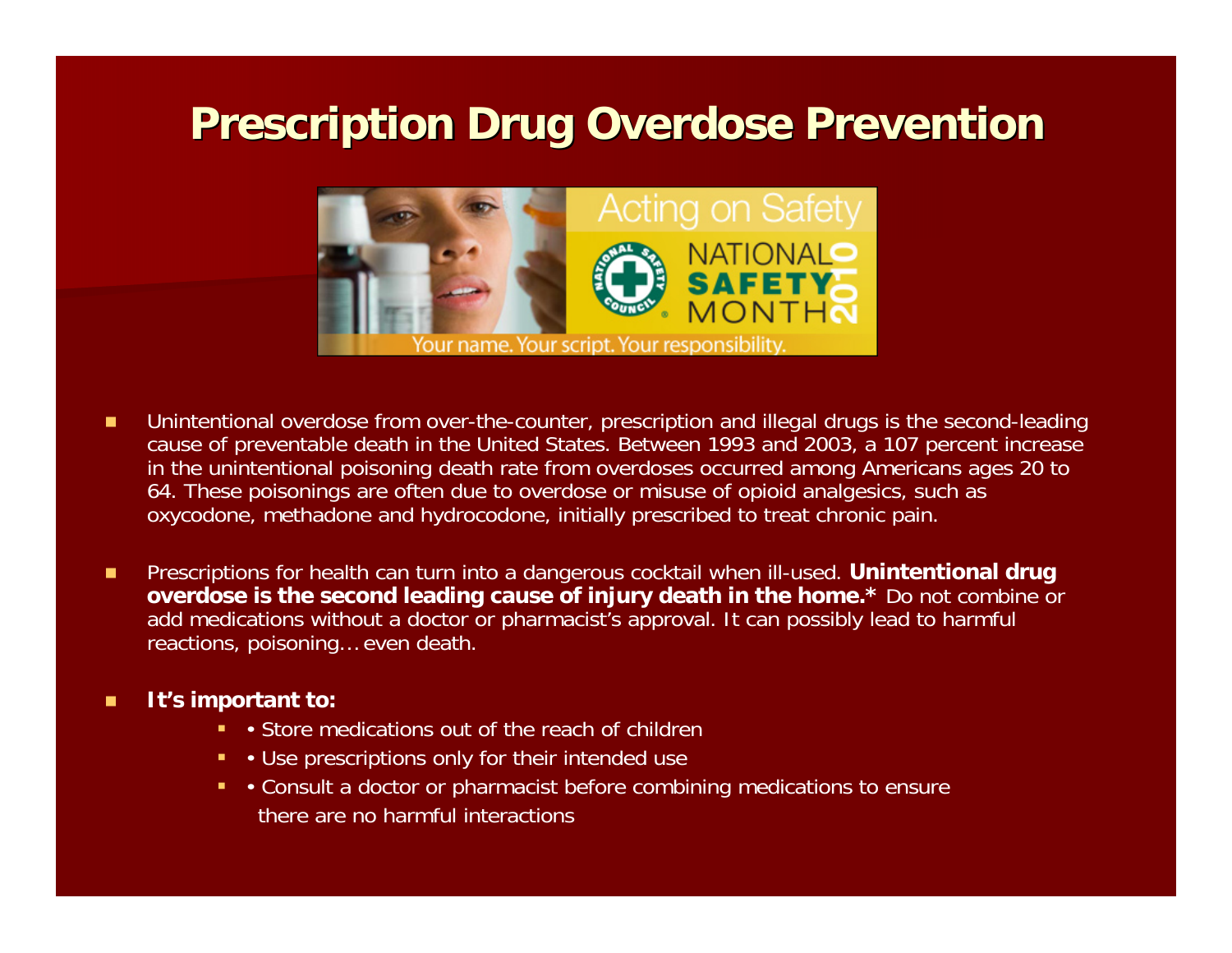### **Prescription Drug Overdose Prevention**



- п Unintentional overdose from over-the-counter, prescription and illegal drugs is the second-leading cause of preventable death in the United States. Between 1993 and 2003, a 107 percent increase in the unintentional poisoning death rate from overdoses occurred among Americans ages 20 to 64. These poisonings are often due to overdose or misuse of opioid analgesics, such as oxycodone, methadone and hydrocodone, initially prescribed to treat chronic pain.
- п Prescriptions for health can turn into a dangerous cocktail when ill-used. **Unintentional drug overdose is the second leading cause of injury death in the home.\*** Do not combine or add medications without a doctor or pharmacist's approval. It can possibly lead to harmful reactions, poisoning… even death.

#### П **It's important to:**

- Store medications out of the reach of children
- Use prescriptions only for their intended use
- Consult a doctor or pharmacist before combining medications to ensure there are no harmful interactions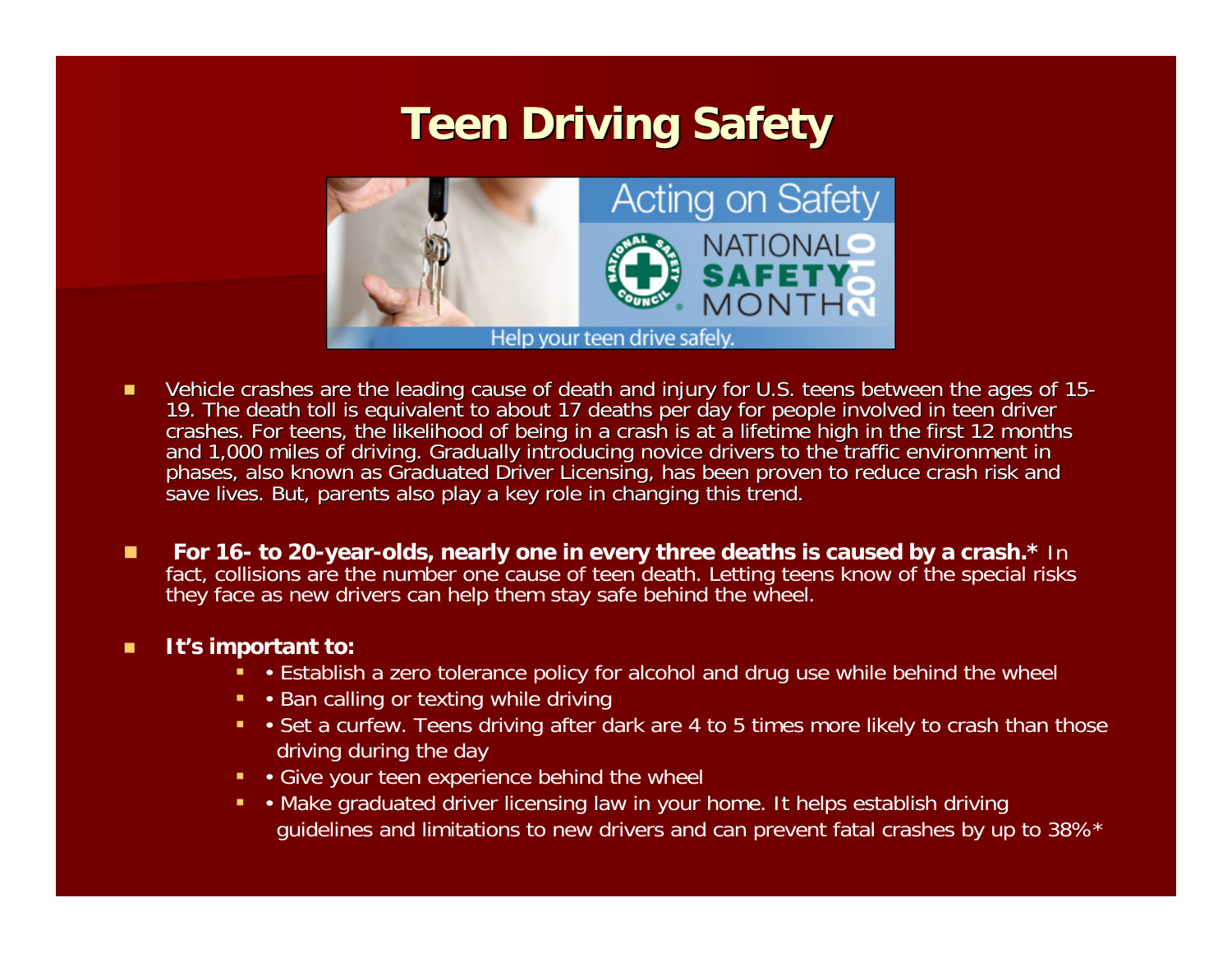### **Teen Driving Safety Teen Driving Safety**



- П Vehicle crashes are the leading cause of death and injury for U.S. teens between the ages of 15-<br>19. The death toll is equivalent to about 17 deaths per day for people involved in teen driver<br>crashes. For teens, the likeli
- П **For 16- to 20-year-olds, nearly one in every three deaths is caused by a crash.\*** In fact, collisions are the number one cause of teen death. Letting teens know of the special risks they face as new drivers can help them stay safe behind the wheel.

#### п **It's important to:**

- Establish a zero tolerance policy for alcohol and drug use while behind the wheel
- Ban calling or texting while driving
- Set a curfew. Teens driving after dark are 4 to 5 times more likely to crash than those driving during the day
- Give your teen experience behind the wheel
- Make graduated driver licensing law in your home. It helps establish driving guidelines and limitations to new drivers and can prevent fatal crashes by up to 38%\*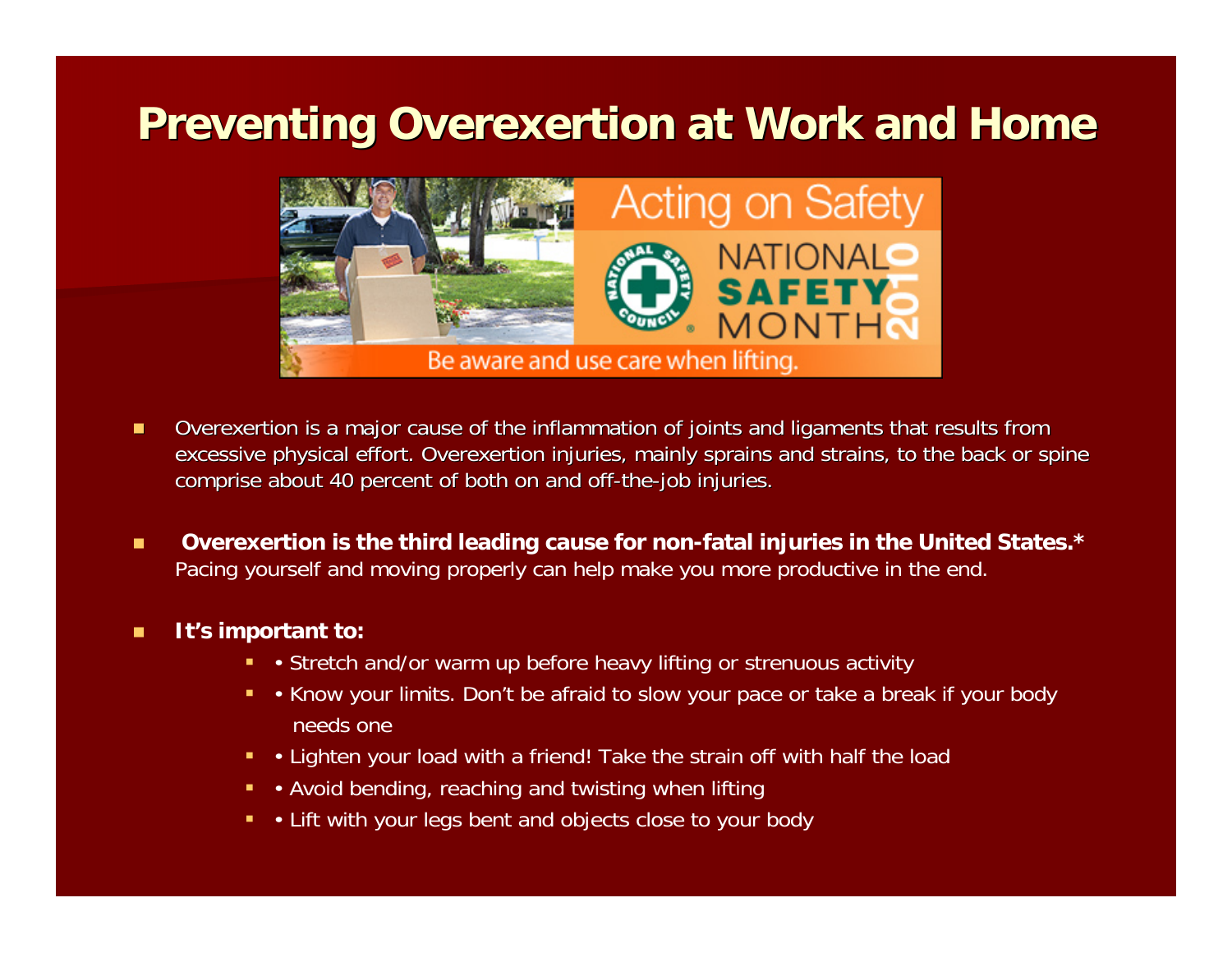### **Preventing Overexertion at Work and Home Preventing Overexertion at Work and Home**



- П Overexertion is a major cause of the inflammation of joints and ligaments that results from excessive physical effort. Overexertion injuries, mainly sprains and strains, to the back or spine comprise about 40 percent of both on and off-the-job injuries.
- п **Overexertion is the third leading cause for non-fatal injuries in the United States.\***  Pacing yourself and moving properly can help make you more productive in the end.

#### П **It's important to:**

- Stretch and/or warm up before heavy lifting or strenuous activity
- Know your limits. Don't be afraid to slow your pace or take a break if your body needs one
- Lighten your load with a friend! Take the strain off with half the load
- Avoid bending, reaching and twisting when lifting
- Lift with your legs bent and objects close to your body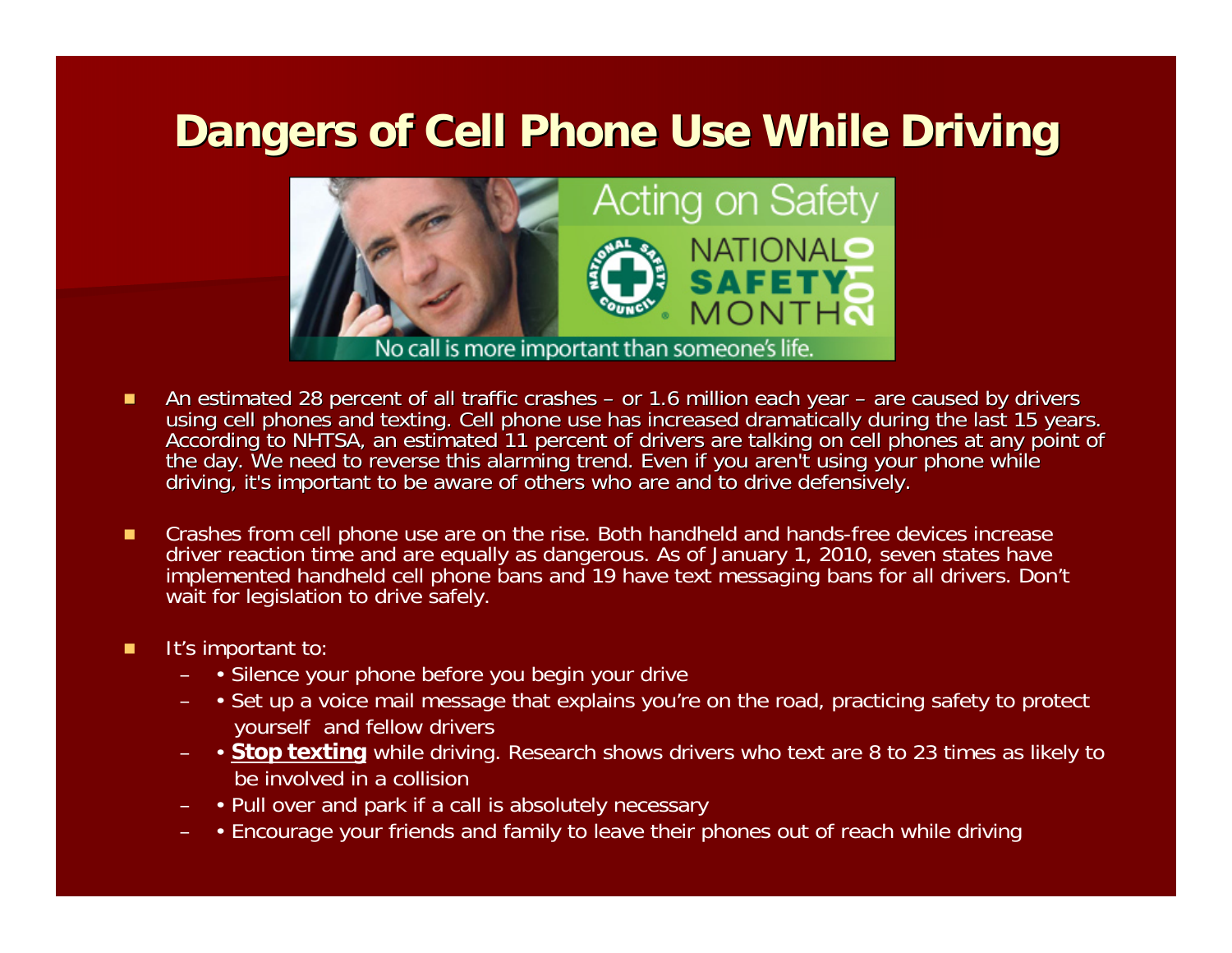### **Dangers of Cell Phone Use While Driving**



- П ■ An estimated 28 percent of all traffic crashes – or 1.6 million each year – According to NHTSA, an estimated 11 percent of drivers are talking on cell phones at any point of<br>the day. We need to reverse this alarming trend. Even if you aren't using your phone while<br>driving, it's important to be awa
- п Crashes from cell phone use are on the rise. Both handheld and hands-free devices increase driver reaction time and are equally as dangerous. As of January 1, 2010, seven states have implemented handheld cell phone bans and 19 have text messaging bans for all drivers. Don't wait for legislation to drive safely.
- п It's important to:
	- • Silence your phone before you begin your drive
	- • Set up a voice mail message that explains you're on the road, practicing safety to protect yourself and fellow drivers
	- **Stop texting** while driving. Research shows drivers who text are 8 to 23 times as likely to be involved in a collision
	- Pull over and park if a call is absolutely necessary
	- Encourage your friends and family to leave their phones out of reach while driving